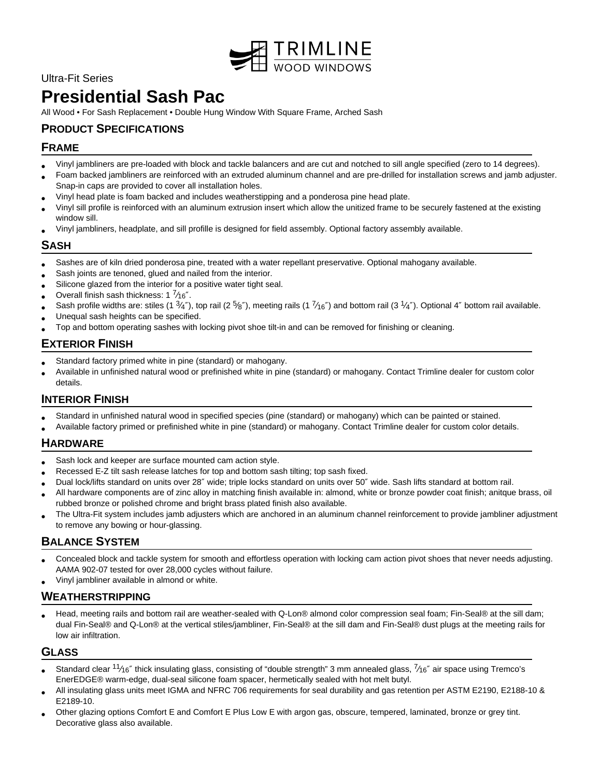

# Ultra-Fit Series

# **Presidential Sash Pac**

All Wood • For Sash Replacement • Double Hung Window With Square Frame, Arched Sash

# **PRODUCT SPECIFICATIONS**

# **FRAME**

- Vinyl jambliners are pre-loaded with block and tackle balancers and are cut and notched to sill angle specified (zero to 14 degrees).
- Foam backed jambliners are reinforced with an extruded aluminum channel and are pre-drilled for installation screws and jamb adjuster. Snap-in caps are provided to cover all installation holes.
- Vinyl head plate is foam backed and includes weatherstipping and a ponderosa pine head plate.
- Vinyl sill profile is reinforced with an aluminum extrusion insert which allow the unitized frame to be securely fastened at the existing window sill.
- Vinyl jambliners, headplate, and sill profille is designed for field assembly. Optional factory assembly available.

# **SASH**

- Sashes are of kiln dried ponderosa pine, treated with a water repellant preservative. Optional mahogany available.
- Sash joints are tenoned, glued and nailed from the interior.
- Silicone glazed from the interior for a positive water tight seal.
- Overall finish sash thickness: 1  $\frac{7}{16}$ ".
- Sash profile widths are: stiles (1  $\frac{3}{4}$ "), top rail (2  $\frac{5}{8}$ "), meeting rails (1  $\frac{7}{16}$ ") and bottom rail (3  $\frac{1}{4}$ "). Optional 4" bottom rail available.
- Unequal sash heights can be specified.
- Top and bottom operating sashes with locking pivot shoe tilt-in and can be removed for finishing or cleaning.

# **EXTERIOR FINISH**

- Standard factory primed white in pine (standard) or mahogany.
- Available in unfinished natural wood or prefinished white in pine (standard) or mahogany. Contact Trimline dealer for custom color details.

# **INTERIOR FINISH**

- Standard in unfinished natural wood in specified species (pine (standard) or mahogany) which can be painted or stained.
- Available factory primed or prefinished white in pine (standard) or mahogany. Contact Trimline dealer for custom color details.

# **HARDWARE**

- Sash lock and keeper are surface mounted cam action style.
- Recessed E-Z tilt sash release latches for top and bottom sash tilting; top sash fixed.
- Dual lock/lifts standard on units over 28″ wide; triple locks standard on units over 50″ wide. Sash lifts standard at bottom rail.
- All hardware components are of zinc alloy in matching finish available in: almond, white or bronze powder coat finish; anitque brass, oil rubbed bronze or polished chrome and bright brass plated finish also available.
- The Ultra-Fit system includes jamb adjusters which are anchored in an aluminum channel reinforcement to provide jambliner adjustment to remove any bowing or hour-glassing.

# **BALANCE SYSTEM**

- Concealed block and tackle system for smooth and effortless operation with locking cam action pivot shoes that never needs adjusting. AAMA 902-07 tested for over 28,000 cycles without failure.
- Vinyl jambliner available in almond or white.

#### **WEATHERSTRIPPING**

• Head, meeting rails and bottom rail are weather-sealed with Q-Lon® almond color compression seal foam; Fin-Seal® at the sill dam; dual Fin-Seal® and Q-Lon® at the vertical stiles/jambliner, Fin-Seal® at the sill dam and Fin-Seal® dust plugs at the meeting rails for low air infiltration.

# **GLASS**

- Standard clear  $11/16''$  thick insulating glass, consisting of "double strength" 3 mm annealed glass,  $7/16''$  air space using Tremco's EnerEDGE® warm-edge, dual-seal silicone foam spacer, hermetically sealed with hot melt butyl.
- All insulating glass units meet IGMA and NFRC 706 requirements for seal durability and gas retention per ASTM E2190, E2188-10 & E2189-10.
- Other glazing options Comfort E and Comfort E Plus Low E with argon gas, obscure, tempered, laminated, bronze or grey tint. Decorative glass also available.